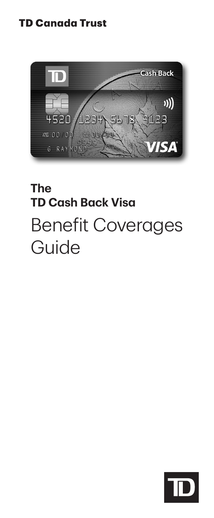## **TD Canada Trust**



# **The TD Cash Back Visa** Benefit Coverages Guide

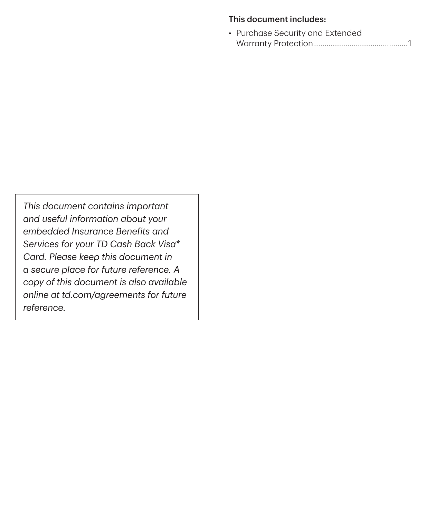#### This document includes:

| • Purchase Security and Extended |
|----------------------------------|
|                                  |

*This document contains important and useful information about your embedded Insurance Benefits and Services for your TD Cash Back Visa\* Card. Please keep this document in a secure place for future reference. A copy of this document is also available online at [td.com/agreements](https://td.com/agreements) for future reference.*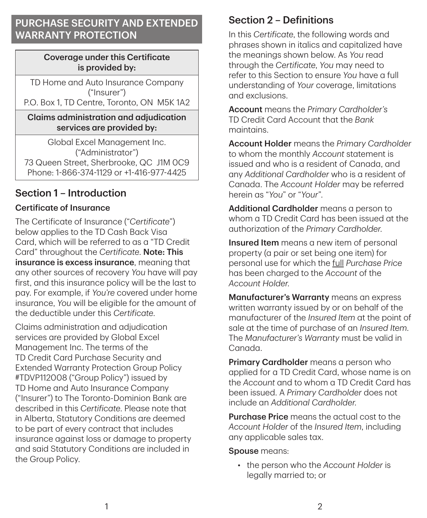## PURCHASE SECURITY AND EXTENDED WARRANTY PROTECTION

#### Coverage under this Certificate is provided by:

TD Home and Auto Insurance Company ("Insurer") P.O. Box 1, TD Centre, Toronto, ON M5K 1A2

#### Claims administration and adjudication services are provided by:

Global Excel Management Inc. ("Administrator") 73 Queen Street, Sherbrooke, QC J1M 0C9 Phone: 1‑866‑374‑1129 or +1‑416‑977‑4425

# Section 1 – Introduction

#### Certificate of Insurance

The Certificate of Insurance ("*Certificate*") below applies to the TD Cash Back Visa Card, which will be referred to as a "TD Credit Card" throughout the *Certificate*. Note: This insurance is excess insurance, meaning that any other sources of recovery *You* have will pay first, and this insurance policy will be the last to pay. For example, if *You're* covered under home insurance, *You* will be eligible for the amount of the deductible under this *Certificate*.

Claims administration and adjudication services are provided by Global Excel Management Inc. The terms of the TD Credit Card Purchase Security and Extended Warranty Protection Group Policy #TDVP112008 ("Group Policy") issued by TD Home and Auto Insurance Company ("Insurer") to The Toronto‑Dominion Bank are described in this *Certificate*. Please note that in Alberta, Statutory Conditions are deemed to be part of every contract that includes insurance against loss or damage to property and said Statutory Conditions are included in the Group Policy.

## Section 2 – Definitions

In this *Certificate*, the following words and phrases shown in italics and capitalized have the meanings shown below. As *You* read through the *Certificate*, *You* may need to refer to this Section to ensure *You* have a full understanding of *Your* coverage, limitations and exclusions.

Account means the *Primary Cardholder's* TD Credit Card Account that the *Bank* maintains.

Account Holder means the *Primary Cardholder* to whom the monthly *Account* statement is issued and who is a resident of Canada, and any *Additional Cardholder* who is a resident of Canada. The *Account Holder* may be referred herein as "*You*" or "*Your*".

Additional Cardholder means a person to whom a TD Credit Card has been issued at the authorization of the *Primary Cardholder*.

Insured Item means a new item of personal property (a pair or set being one item) for personal use for which the full *Purchase Price* has been charged to the *Account* of the *Account Holder*.

**Manufacturer's Warranty** means an express written warranty issued by or on behalf of the manufacturer of the *Insured Item* at the point of sale at the time of purchase of an *Insured Item*. The *Manufacturer's Warranty* must be valid in Canada.

**Primary Cardholder** means a person who applied for a TD Credit Card, whose name is on the *Account* and to whom a TD Credit Card has been issued. A *Primary Cardholder* does not include an *Additional Cardholder*.

Purchase Price means the actual cost to the *Account Holder* of the *Insured Item*, including any applicable sales tax.

Spouse means:

• the person who the *Account Holder* is legally married to; or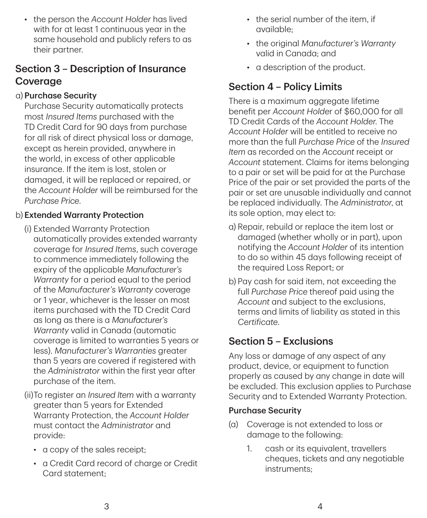• the person the *Account Holder* has lived with for at least 1 continuous year in the same household and publicly refers to as their partner.

# Section 3 – Description of Insurance **Coverage**

## a) Purchase Security

Purchase Security automatically protects most *Insured Items* purchased with the TD Credit Card for 90 days from purchase for all risk of direct physical loss or damage, except as herein provided, anywhere in the world, in excess of other applicable insurance. If the item is lost, stolen or damaged, it will be replaced or repaired, or the *Account Holder* will be reimbursed for the *Purchase Price*.

## b) Extended Warranty Protection

- (i) Extended Warranty Protection automatically provides extended warranty coverage for *Insured Items*, such coverage to commence immediately following the expiry of the applicable *Manufacturer's Warranty* for a period equal to the period of the *Manufacturer's Warranty* coverage or 1 year, whichever is the lesser on most items purchased with the TD Credit Card as long as there is a *Manufacturer's Warranty* valid in Canada (automatic coverage is limited to warranties 5 years or less). *Manufacturer's Warranties* greater than 5 years are covered if registered with the *Administrator* within the first year after purchase of the item.
- (ii)To register an *Insured Item* with a warranty greater than 5 years for Extended Warranty Protection, the *Account Holder* must contact the *Administrator* and provide:
	- a copy of the sales receipt;
	- a Credit Card record of charge or Credit Card statement;
- the serial number of the item, if available;
- the original *Manufacturer's Warranty* valid in Canada; and
- a description of the product.

# Section 4 – Policy Limits

There is a maximum aggregate lifetime benefit per *Account Holde*r of \$60,000 for all TD Credit Cards of the *Account Holder*. The *Account Holder* will be entitled to receive no more than the full *Purchase Price* of the *Insured Item* as recorded on the *Account* receipt or *Account* statement. Claims for items belonging to a pair or set will be paid for at the Purchase Price of the pair or set provided the parts of the pair or set are unusable individually and cannot be replaced individually. The *Administrator*, at its sole option, may elect to:

- a) Repair, rebuild or replace the item lost or damaged (whether wholly or in part), upon notifying the *Account Holder* of its intention to do so within 45 days following receipt of the required Loss Report; or
- b) Pay cash for said item, not exceeding the full *Purchase Price* thereof paid using the *Account* and subject to the exclusions, terms and limits of liability as stated in this *Certificate*.

# Section 5 – Exclusions

Any loss or damage of any aspect of any product, device, or equipment to function properly as caused by any change in date will be excluded. This exclusion applies to Purchase Security and to Extended Warranty Protection.

### Purchase Security

- (a) Coverage is not extended to loss or damage to the following:
	- 1. cash or its equivalent, travellers cheques, tickets and any negotiable instruments;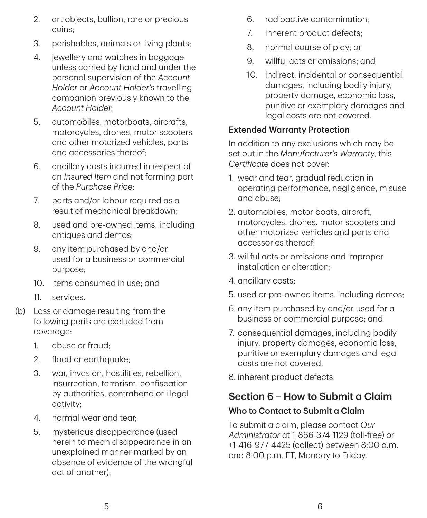- 2. art objects, bullion, rare or precious coins;
- 3. perishables, animals or living plants;
- 4. jewellery and watches in baggage unless carried by hand and under the personal supervision of the *Account Holder* or *Account Holder's* travelling companion previously known to the *Account Holder*;
- 5. automobiles, motorboats, aircrafts, motorcycles, drones, motor scooters and other motorized vehicles, parts and accessories thereof;
- 6. ancillary costs incurred in respect of an *Insured Item* and not forming part of the *Purchase Price*;
- 7. parts and/or labour required as a result of mechanical breakdown;
- 8. used and pre‑owned items, including antiques and demos;
- 9. any item purchased by and/or used for a business or commercial purpose;
- 10. items consumed in use; and
- 11. services.
- (b) Loss or damage resulting from the following perils are excluded from coverage:
	- 1. abuse or fraud;
	- 2. flood or earthquake:
	- 3. war, invasion, hostilities, rebellion, insurrection, terrorism, confiscation by authorities, contraband or illegal activity;
	- 4. normal wear and tear;
	- 5. mysterious disappearance (used herein to mean disappearance in an unexplained manner marked by an absence of evidence of the wrongful act of another);
- 6. radioactive contamination;
- 7. inherent product defects;
- 8. normal course of play; or
- 9. willful acts or omissions; and
- 10. indirect, incidental or consequential damages, including bodily injury, property damage, economic loss, punitive or exemplary damages and legal costs are not covered.

#### Extended Warranty Protection

In addition to any exclusions which may be set out in the *Manufacturer's Warranty*, this *Certificate* does not cover:

- 1. wear and tear, gradual reduction in operating performance, negligence, misuse and abuse;
- 2. automobiles, motor boats, aircraft, motorcycles, drones, motor scooters and other motorized vehicles and parts and accessories thereof;
- 3. willful acts or omissions and improper installation or alteration;
- 4. ancillary costs;
- 5. used or pre‑owned items, including demos;
- 6. any item purchased by and/or used for a business or commercial purpose; and
- 7. consequential damages, including bodily injury, property damages, economic loss, punitive or exemplary damages and legal costs are not covered;
- 8. inherent product defects.

# Section 6 – How to Submit a Claim

### Who to Contact to Submit a Claim

To submit a claim, please contact *Our Administrator* at 1‑866‑374‑1129 (toll‑free) or +1‑416‑977‑4425 (collect) between 8:00 a.m. and 8:00 p.m. ET, Monday to Friday.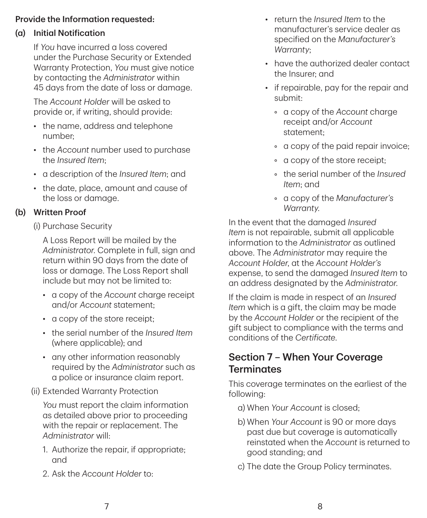#### Provide the Information requested:

#### (a) Initial Notification

If *You* have incurred a loss covered under the Purchase Security or Extended Warranty Protection, *You* must give notice by contacting the *Administrator* within 45 days from the date of loss or damage.

The *Account Holder* will be asked to provide or, if writing, should provide:

- the name, address and telephone number;
- the *Account* number used to purchase the *Insured Item*;
- a description of the *Insured Item*; and
- the date, place, amount and cause of the loss or damage.

#### (b) Written Proof

(i) Purchase Security

A Loss Report will be mailed by the *Administrator*. Complete in full, sign and return within 90 days from the date of loss or damage. The Loss Report shall include but may not be limited to:

- a copy of the *Account* charge receipt and/or *Account* statement;
- a copy of the store receipt;
- the serial number of the *Insured Item* (where applicable); and
- any other information reasonably required by the *Administrator* such as a police or insurance claim report.
- (ii) Extended Warranty Protection

*You* must report the claim information as detailed above prior to proceeding with the repair or replacement. The *Administrator* will:

- 1. Authorize the repair, if appropriate; and
- 2. Ask the *Account Holder* to:
- return the *Insured Item* to the manufacturer's service dealer as specified on the *Manufacturer's Warranty*;
- have the authorized dealer contact the Insurer; and
- if repairable, pay for the repair and submit:
	- a copy of the *Account* charge receipt and/or *Account* statement;
	- a copy of the paid repair invoice;
	- a copy of the store receipt;
	- the serial number of the *Insured Item*; and
	- a copy of the *Manufacturer's Warranty*.

In the event that the damaged *Insured Item* is not repairable, submit all applicable information to the *Administrator* as outlined above. The *Administrator* may require the *Account Holder*, at the *Account Holder's* expense, to send the damaged *Insured Item* to an address designated by the *Administrator*.

If the claim is made in respect of an *Insured Item* which is a gift, the claim may be made by the *Account Holder* or the recipient of the gift subject to compliance with the terms and conditions of the *Certificate*.

## Section 7 – When Your Coverage **Terminates**

This coverage terminates on the earliest of the following:

- a) When *Your Account* is closed;
- b) When *Your Account* is 90 or more days past due but coverage is automatically reinstated when the *Account* is returned to good standing; and
- c) The date the Group Policy terminates.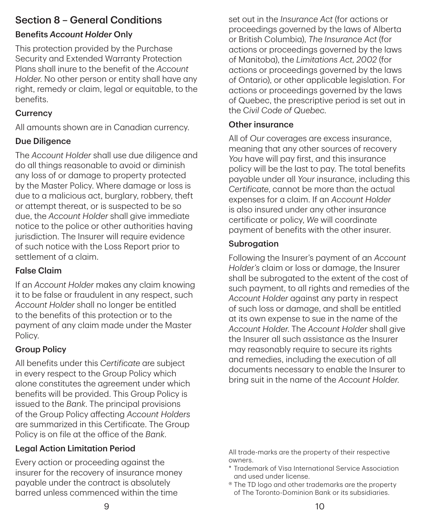# Section 8 – General Conditions

## Benefits *Account Holder* Only

This protection provided by the Purchase Security and Extended Warranty Protection Plans shall inure to the benefit of the *Account Holder*. No other person or entity shall have any right, remedy or claim, legal or equitable, to the benefits.

#### **Currency**

All amounts shown are in Canadian currency.

### Due Diligence

The *Account Holder* shall use due diligence and do all things reasonable to avoid or diminish any loss of or damage to property protected by the Master Policy. Where damage or loss is due to a malicious act, burglary, robbery, theft or attempt thereat, or is suspected to be so due, the *Account Holder* shall give immediate notice to the police or other authorities having jurisdiction. The Insurer will require evidence of such notice with the Loss Report prior to settlement of a claim.

### False Claim

If an *Account Holder* makes any claim knowing it to be false or fraudulent in any respect, such *Account Holder* shall no longer be entitled to the benefits of this protection or to the payment of any claim made under the Master Policy.

## Group Policy

All benefits under this *Certificate* are subject in every respect to the Group Policy which alone constitutes the agreement under which benefits will be provided. This Group Policy is issued to the *Bank*. The principal provisions of the Group Policy affecting *Account Holders* are summarized in this Certificate. The Group Policy is on file at the office of the *Bank*.

# Legal Action Limitation Period

Every action or proceeding against the insurer for the recovery of insurance money payable under the contract is absolutely barred unless commenced within the time

set out in the *Insurance Act* (for actions or proceedings governed by the laws of Alberta or British Columbia), *The Insurance Act* (for actions or proceedings governed by the laws of Manitoba), the *Limitations Act, 2002* (for actions or proceedings governed by the laws of Ontario), or other applicable legislation. For actions or proceedings governed by the laws of Quebec, the prescriptive period is set out in the C*ivil Code of Quebec*.

#### Other insurance

All of *Our* coverages are excess insurance, meaning that any other sources of recovery *You* have will pay first, and this insurance policy will be the last to pay. The total benefits payable under all *Your* insurance, including this *Certificate*, cannot be more than the actual expenses for a claim. If an *Account Holder* is also insured under any other insurance certificate or policy, *We* will coordinate payment of benefits with the other insurer.

#### Subrogation

Following the Insurer's payment of an *Account Holder's* claim or loss or damage, the Insurer shall be subrogated to the extent of the cost of such payment, to all rights and remedies of the *Account Holder* against any party in respect of such loss or damage, and shall be entitled at its own expense to sue in the name of the *Account Holder*. The *Account Holder* shall give the Insurer all such assistance as the Insurer may reasonably require to secure its rights and remedies, including the execution of all documents necessary to enable the Insurer to bring suit in the name of the *Account Holder*.

- \* T rademark of Visa International Service Association and used under license.
- <sup>®</sup> The TD logo and other trademarks are the property of The Toronto‑Dominion Bank or its subsidiaries.

All trade‑marks are the property of their respective owners.